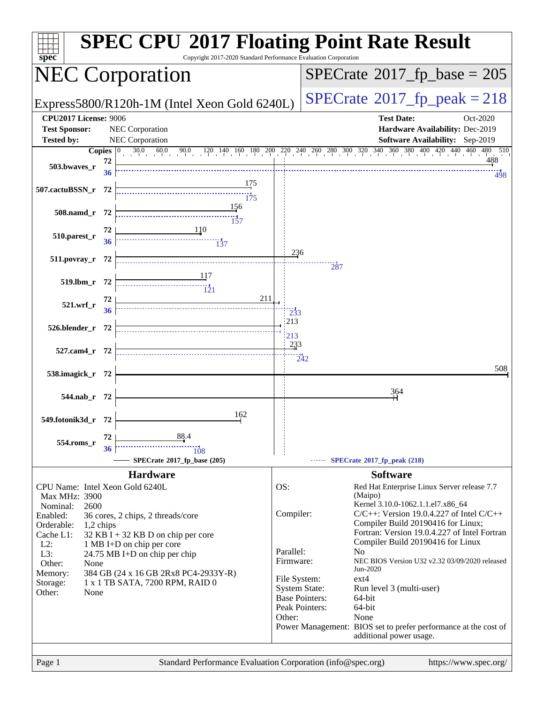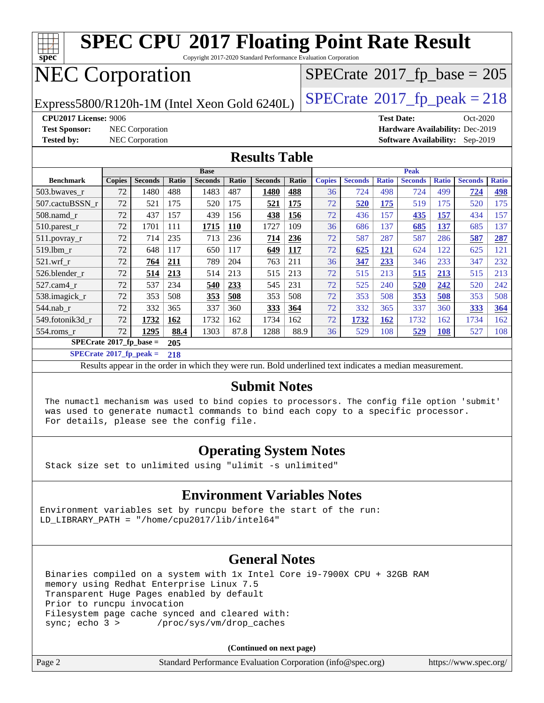

**[SPECrate](http://www.spec.org/auto/cpu2017/Docs/result-fields.html#SPECrate2017fppeak)[2017\\_fp\\_peak =](http://www.spec.org/auto/cpu2017/Docs/result-fields.html#SPECrate2017fppeak) 218**

Results appear in the [order in which they were run.](http://www.spec.org/auto/cpu2017/Docs/result-fields.html#RunOrder) Bold underlined text [indicates a median measurement.](http://www.spec.org/auto/cpu2017/Docs/result-fields.html#Median)

#### **[Submit Notes](http://www.spec.org/auto/cpu2017/Docs/result-fields.html#SubmitNotes)**

 The numactl mechanism was used to bind copies to processors. The config file option 'submit' was used to generate numactl commands to bind each copy to a specific processor. For details, please see the config file.

#### **[Operating System Notes](http://www.spec.org/auto/cpu2017/Docs/result-fields.html#OperatingSystemNotes)**

Stack size set to unlimited using "ulimit -s unlimited"

#### **[Environment Variables Notes](http://www.spec.org/auto/cpu2017/Docs/result-fields.html#EnvironmentVariablesNotes)**

Environment variables set by runcpu before the start of the run: LD LIBRARY PATH = "/home/cpu2017/lib/intel64"

#### **[General Notes](http://www.spec.org/auto/cpu2017/Docs/result-fields.html#GeneralNotes)**

 Binaries compiled on a system with 1x Intel Core i9-7900X CPU + 32GB RAM memory using Redhat Enterprise Linux 7.5 Transparent Huge Pages enabled by default Prior to runcpu invocation Filesystem page cache synced and cleared with: sync; echo 3 > /proc/sys/vm/drop\_caches

**(Continued on next page)**

| Page 2<br>Standard Performance Evaluation Corporation (info@spec.org) |  |  | https://www.spec.org/ $\vert$ |
|-----------------------------------------------------------------------|--|--|-------------------------------|
|-----------------------------------------------------------------------|--|--|-------------------------------|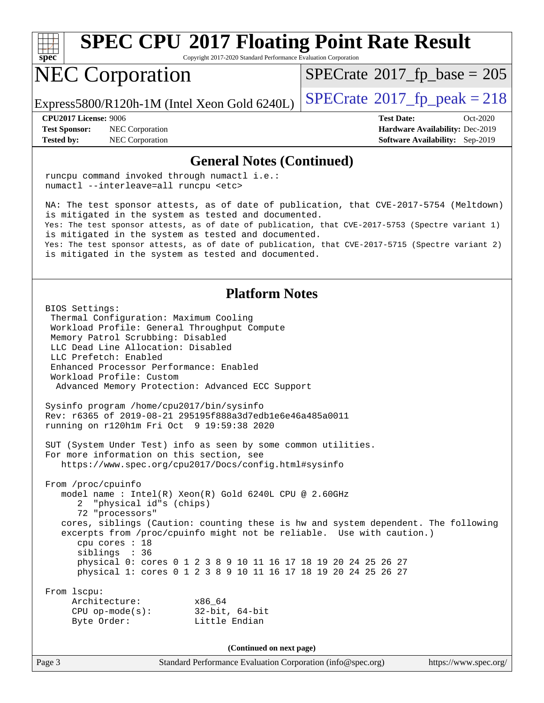

Copyright 2017-2020 Standard Performance Evaluation Corporation

## NEC Corporation

 $SPECTate$ <sup>®</sup>[2017\\_fp\\_base =](http://www.spec.org/auto/cpu2017/Docs/result-fields.html#SPECrate2017fpbase) 205

Express5800/R120h-1M (Intel Xeon Gold 6240L)  $\vert$  [SPECrate](http://www.spec.org/auto/cpu2017/Docs/result-fields.html#SPECrate2017fppeak)®[2017\\_fp\\_peak = 2](http://www.spec.org/auto/cpu2017/Docs/result-fields.html#SPECrate2017fppeak)18

**[Tested by:](http://www.spec.org/auto/cpu2017/Docs/result-fields.html#Testedby)** NEC Corporation **[Software Availability:](http://www.spec.org/auto/cpu2017/Docs/result-fields.html#SoftwareAvailability)** Sep-2019

**[CPU2017 License:](http://www.spec.org/auto/cpu2017/Docs/result-fields.html#CPU2017License)** 9006 **[Test Date:](http://www.spec.org/auto/cpu2017/Docs/result-fields.html#TestDate)** Oct-2020 **[Test Sponsor:](http://www.spec.org/auto/cpu2017/Docs/result-fields.html#TestSponsor)** NEC Corporation **[Hardware Availability:](http://www.spec.org/auto/cpu2017/Docs/result-fields.html#HardwareAvailability)** Dec-2019

#### **[General Notes \(Continued\)](http://www.spec.org/auto/cpu2017/Docs/result-fields.html#GeneralNotes)**

 runcpu command invoked through numactl i.e.: numactl --interleave=all runcpu <etc>

 NA: The test sponsor attests, as of date of publication, that CVE-2017-5754 (Meltdown) is mitigated in the system as tested and documented. Yes: The test sponsor attests, as of date of publication, that CVE-2017-5753 (Spectre variant 1) is mitigated in the system as tested and documented. Yes: The test sponsor attests, as of date of publication, that CVE-2017-5715 (Spectre variant 2) is mitigated in the system as tested and documented.

#### **[Platform Notes](http://www.spec.org/auto/cpu2017/Docs/result-fields.html#PlatformNotes)**

 BIOS Settings: Thermal Configuration: Maximum Cooling Workload Profile: General Throughput Compute Memory Patrol Scrubbing: Disabled LLC Dead Line Allocation: Disabled LLC Prefetch: Enabled Enhanced Processor Performance: Enabled Workload Profile: Custom Advanced Memory Protection: Advanced ECC Support Sysinfo program /home/cpu2017/bin/sysinfo Rev: r6365 of 2019-08-21 295195f888a3d7edb1e6e46a485a0011 running on r120h1m Fri Oct 9 19:59:38 2020 SUT (System Under Test) info as seen by some common utilities. For more information on this section, see <https://www.spec.org/cpu2017/Docs/config.html#sysinfo> From /proc/cpuinfo model name : Intel(R) Xeon(R) Gold 6240L CPU @ 2.60GHz 2 "physical id"s (chips) 72 "processors" cores, siblings (Caution: counting these is hw and system dependent. The following excerpts from /proc/cpuinfo might not be reliable. Use with caution.) cpu cores : 18 siblings : 36 physical 0: cores 0 1 2 3 8 9 10 11 16 17 18 19 20 24 25 26 27 physical 1: cores 0 1 2 3 8 9 10 11 16 17 18 19 20 24 25 26 27 From lscpu: Architecture: x86\_64 CPU op-mode(s): 32-bit, 64-bit Byte Order: Little Endian **(Continued on next page)**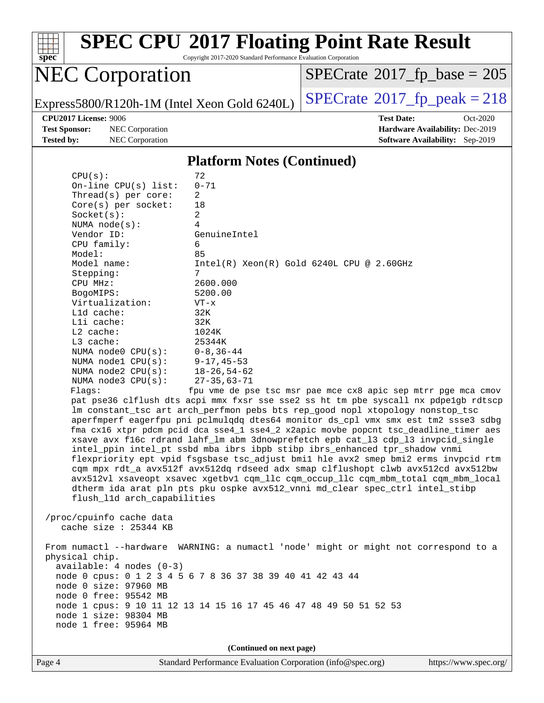

Copyright 2017-2020 Standard Performance Evaluation Corporation

## NEC Corporation

 $SPECrate$ <sup>®</sup>[2017\\_fp\\_base =](http://www.spec.org/auto/cpu2017/Docs/result-fields.html#SPECrate2017fpbase) 205

Express5800/R120h-1M (Intel Xeon Gold 6240L)  $\left|$  [SPECrate](http://www.spec.org/auto/cpu2017/Docs/result-fields.html#SPECrate2017fppeak)®[2017\\_fp\\_peak = 2](http://www.spec.org/auto/cpu2017/Docs/result-fields.html#SPECrate2017fppeak)18

**[Test Sponsor:](http://www.spec.org/auto/cpu2017/Docs/result-fields.html#TestSponsor)** NEC Corporation **[Hardware Availability:](http://www.spec.org/auto/cpu2017/Docs/result-fields.html#HardwareAvailability)** Dec-2019 **[Tested by:](http://www.spec.org/auto/cpu2017/Docs/result-fields.html#Testedby)** NEC Corporation **[Software Availability:](http://www.spec.org/auto/cpu2017/Docs/result-fields.html#SoftwareAvailability)** Sep-2019

**[CPU2017 License:](http://www.spec.org/auto/cpu2017/Docs/result-fields.html#CPU2017License)** 9006 **[Test Date:](http://www.spec.org/auto/cpu2017/Docs/result-fields.html#TestDate)** Oct-2020

#### **[Platform Notes \(Continued\)](http://www.spec.org/auto/cpu2017/Docs/result-fields.html#PlatformNotes)**

| CPU(s):                                                                                              | 72                                                                                                                                                                                                                                                                                                                                                                                                                                                                                                                                                                                                                                                                                                                                                                                                                                                                    |                       |
|------------------------------------------------------------------------------------------------------|-----------------------------------------------------------------------------------------------------------------------------------------------------------------------------------------------------------------------------------------------------------------------------------------------------------------------------------------------------------------------------------------------------------------------------------------------------------------------------------------------------------------------------------------------------------------------------------------------------------------------------------------------------------------------------------------------------------------------------------------------------------------------------------------------------------------------------------------------------------------------|-----------------------|
| On-line $CPU(s)$ list:                                                                               | $0 - 71$                                                                                                                                                                                                                                                                                                                                                                                                                                                                                                                                                                                                                                                                                                                                                                                                                                                              |                       |
| Thread(s) per core:                                                                                  | $\overline{2}$                                                                                                                                                                                                                                                                                                                                                                                                                                                                                                                                                                                                                                                                                                                                                                                                                                                        |                       |
| $Core(s)$ per socket:                                                                                | 18                                                                                                                                                                                                                                                                                                                                                                                                                                                                                                                                                                                                                                                                                                                                                                                                                                                                    |                       |
| Socket(s):                                                                                           | 2                                                                                                                                                                                                                                                                                                                                                                                                                                                                                                                                                                                                                                                                                                                                                                                                                                                                     |                       |
| NUMA node(s):                                                                                        | 4                                                                                                                                                                                                                                                                                                                                                                                                                                                                                                                                                                                                                                                                                                                                                                                                                                                                     |                       |
| Vendor ID:                                                                                           | GenuineIntel                                                                                                                                                                                                                                                                                                                                                                                                                                                                                                                                                                                                                                                                                                                                                                                                                                                          |                       |
| CPU family:                                                                                          | 6                                                                                                                                                                                                                                                                                                                                                                                                                                                                                                                                                                                                                                                                                                                                                                                                                                                                     |                       |
| Model:                                                                                               | 85                                                                                                                                                                                                                                                                                                                                                                                                                                                                                                                                                                                                                                                                                                                                                                                                                                                                    |                       |
| Model name:                                                                                          | $Intel(R) Xeon(R) Gold 6240L CPU @ 2.60GHz$                                                                                                                                                                                                                                                                                                                                                                                                                                                                                                                                                                                                                                                                                                                                                                                                                           |                       |
| Stepping:                                                                                            | 7                                                                                                                                                                                                                                                                                                                                                                                                                                                                                                                                                                                                                                                                                                                                                                                                                                                                     |                       |
| CPU MHz:                                                                                             | 2600.000                                                                                                                                                                                                                                                                                                                                                                                                                                                                                                                                                                                                                                                                                                                                                                                                                                                              |                       |
| BogoMIPS:                                                                                            | 5200.00                                                                                                                                                                                                                                                                                                                                                                                                                                                                                                                                                                                                                                                                                                                                                                                                                                                               |                       |
| Virtualization:                                                                                      | $VT - x$                                                                                                                                                                                                                                                                                                                                                                                                                                                                                                                                                                                                                                                                                                                                                                                                                                                              |                       |
| Lld cache:                                                                                           | 32K                                                                                                                                                                                                                                                                                                                                                                                                                                                                                                                                                                                                                                                                                                                                                                                                                                                                   |                       |
| Lli cache:                                                                                           | 32K                                                                                                                                                                                                                                                                                                                                                                                                                                                                                                                                                                                                                                                                                                                                                                                                                                                                   |                       |
| $L2$ cache:                                                                                          | 1024K                                                                                                                                                                                                                                                                                                                                                                                                                                                                                                                                                                                                                                                                                                                                                                                                                                                                 |                       |
| L3 cache:                                                                                            | 25344K                                                                                                                                                                                                                                                                                                                                                                                                                                                                                                                                                                                                                                                                                                                                                                                                                                                                |                       |
| NUMA $node0$ $CPU(s)$ :                                                                              | $0 - 8, 36 - 44$                                                                                                                                                                                                                                                                                                                                                                                                                                                                                                                                                                                                                                                                                                                                                                                                                                                      |                       |
| NUMA nodel CPU(s):                                                                                   | $9 - 17, 45 - 53$                                                                                                                                                                                                                                                                                                                                                                                                                                                                                                                                                                                                                                                                                                                                                                                                                                                     |                       |
| NUMA $node2$ $CPU(s)$ :                                                                              | $18 - 26, 54 - 62$                                                                                                                                                                                                                                                                                                                                                                                                                                                                                                                                                                                                                                                                                                                                                                                                                                                    |                       |
| NUMA node3 CPU(s):                                                                                   | $27 - 35,63 - 71$                                                                                                                                                                                                                                                                                                                                                                                                                                                                                                                                                                                                                                                                                                                                                                                                                                                     |                       |
| Flaqs:                                                                                               | fpu vme de pse tsc msr pae mce cx8 apic sep mtrr pge mca cmov<br>pat pse36 clflush dts acpi mmx fxsr sse sse2 ss ht tm pbe syscall nx pdpelgb rdtscp                                                                                                                                                                                                                                                                                                                                                                                                                                                                                                                                                                                                                                                                                                                  |                       |
| flush_11d arch_capabilities<br>/proc/cpuinfo cache data<br>cache size $: 25344$ KB<br>physical chip. | lm constant_tsc art arch_perfmon pebs bts rep_good nopl xtopology nonstop_tsc<br>aperfmperf eagerfpu pni pclmulqdq dtes64 monitor ds_cpl vmx smx est tm2 ssse3 sdbg<br>fma cx16 xtpr pdcm pcid dca sse4_1 sse4_2 x2apic movbe popcnt tsc_deadline_timer aes<br>xsave avx f16c rdrand lahf_lm abm 3dnowprefetch epb cat_13 cdp_13 invpcid_single<br>intel_ppin intel_pt ssbd mba ibrs ibpb stibp ibrs_enhanced tpr_shadow vnmi<br>flexpriority ept vpid fsgsbase tsc_adjust bmil hle avx2 smep bmi2 erms invpcid rtm<br>cqm mpx rdt_a avx512f avx512dq rdseed adx smap clflushopt clwb avx512cd avx512bw<br>avx512vl xsaveopt xsavec xgetbvl cqm_llc cqm_occup_llc cqm_mbm_total cqm_mbm_local<br>dtherm ida arat pln pts pku ospke avx512_vnni md_clear spec_ctrl intel_stibp<br>From numactl --hardware WARNING: a numactl 'node' might or might not correspond to a |                       |
| $available: 4 nodes (0-3)$                                                                           |                                                                                                                                                                                                                                                                                                                                                                                                                                                                                                                                                                                                                                                                                                                                                                                                                                                                       |                       |
| node 0 cpus: 0 1 2 3 4 5 6 7 8 36 37 38 39 40 41 42 43 44                                            |                                                                                                                                                                                                                                                                                                                                                                                                                                                                                                                                                                                                                                                                                                                                                                                                                                                                       |                       |
| node 0 size: 97960 MB                                                                                |                                                                                                                                                                                                                                                                                                                                                                                                                                                                                                                                                                                                                                                                                                                                                                                                                                                                       |                       |
| node 0 free: 95542 MB                                                                                |                                                                                                                                                                                                                                                                                                                                                                                                                                                                                                                                                                                                                                                                                                                                                                                                                                                                       |                       |
| node 1 cpus: 9 10 11 12 13 14 15 16 17 45 46 47 48 49 50 51 52 53                                    |                                                                                                                                                                                                                                                                                                                                                                                                                                                                                                                                                                                                                                                                                                                                                                                                                                                                       |                       |
| node 1 size: 98304 MB                                                                                |                                                                                                                                                                                                                                                                                                                                                                                                                                                                                                                                                                                                                                                                                                                                                                                                                                                                       |                       |
| node 1 free: 95964 MB                                                                                |                                                                                                                                                                                                                                                                                                                                                                                                                                                                                                                                                                                                                                                                                                                                                                                                                                                                       |                       |
|                                                                                                      | (Continued on next page)                                                                                                                                                                                                                                                                                                                                                                                                                                                                                                                                                                                                                                                                                                                                                                                                                                              |                       |
| Page 4                                                                                               | Standard Performance Evaluation Corporation (info@spec.org)                                                                                                                                                                                                                                                                                                                                                                                                                                                                                                                                                                                                                                                                                                                                                                                                           | https://www.spec.org/ |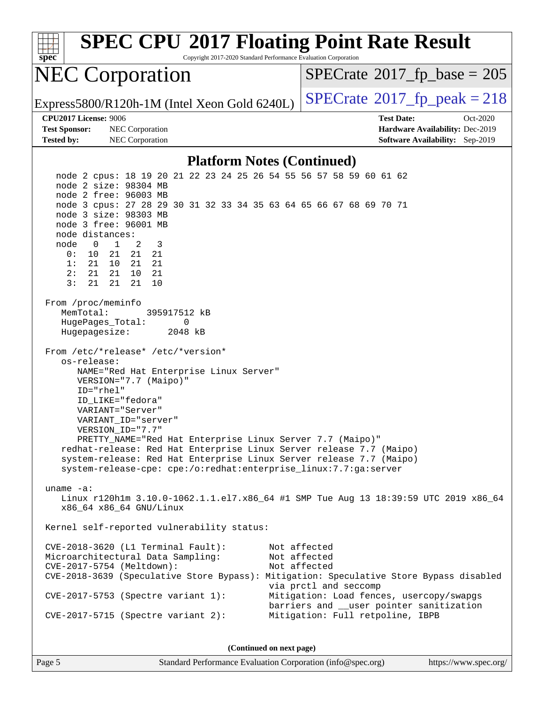| <b>SPEC CPU®2017 Floating Point Rate Result</b><br>Copyright 2017-2020 Standard Performance Evaluation Corporation<br>spec <sup>®</sup>                                                                                                                                                                                                                                                                                                                                                                                                                                                                                                   |                                                                                                                                                               |  |
|-------------------------------------------------------------------------------------------------------------------------------------------------------------------------------------------------------------------------------------------------------------------------------------------------------------------------------------------------------------------------------------------------------------------------------------------------------------------------------------------------------------------------------------------------------------------------------------------------------------------------------------------|---------------------------------------------------------------------------------------------------------------------------------------------------------------|--|
| <b>NEC Corporation</b>                                                                                                                                                                                                                                                                                                                                                                                                                                                                                                                                                                                                                    | $SPECrate^{\circ}2017$ [p base = 205                                                                                                                          |  |
| Express5800/R120h-1M (Intel Xeon Gold 6240L)                                                                                                                                                                                                                                                                                                                                                                                                                                                                                                                                                                                              | $SPECTate@2017_fp\_peak = 218$                                                                                                                                |  |
| <b>CPU2017 License: 9006</b>                                                                                                                                                                                                                                                                                                                                                                                                                                                                                                                                                                                                              | <b>Test Date:</b><br>Oct-2020                                                                                                                                 |  |
| <b>Test Sponsor:</b><br>NEC Corporation<br><b>Tested by:</b><br>NEC Corporation                                                                                                                                                                                                                                                                                                                                                                                                                                                                                                                                                           | Hardware Availability: Dec-2019<br>Software Availability: Sep-2019                                                                                            |  |
| <b>Platform Notes (Continued)</b>                                                                                                                                                                                                                                                                                                                                                                                                                                                                                                                                                                                                         |                                                                                                                                                               |  |
| node 2 cpus: 18 19 20 21 22 23 24 25 26 54 55 56 57 58 59 60 61 62<br>node 2 size: 98304 MB<br>node 2 free: 96003 MB<br>node 3 cpus: 27 28 29 30 31 32 33 34 35 63 64 65 66 67 68 69 70 71<br>node 3 size: 98303 MB<br>node 3 free: 96001 MB<br>node distances:<br>$\mathbf{1}$<br>2<br>3<br>node<br>$\overline{0}$<br>0:<br>21<br>21<br>21<br>10<br>1:<br>21<br>21<br>21<br>10<br>21<br>2:<br>21<br>10<br>21                                                                                                                                                                                                                             |                                                                                                                                                               |  |
| 3:<br>21<br>21<br>10<br>21<br>From /proc/meminfo<br>MemTotal:<br>395917512 kB<br>HugePages_Total:<br>0<br>Hugepagesize:<br>2048 kB<br>From /etc/*release* /etc/*version*<br>os-release:<br>NAME="Red Hat Enterprise Linux Server"<br>VERSION="7.7 (Maipo)"<br>ID="rhel"<br>ID LIKE="fedora"<br>VARIANT="Server"<br>VARIANT_ID="server"<br>VERSION ID="7.7"<br>PRETTY_NAME="Red Hat Enterprise Linux Server 7.7 (Maipo)"<br>redhat-release: Red Hat Enterprise Linux Server release 7.7 (Maipo)<br>system-release: Red Hat Enterprise Linux Server release 7.7 (Maipo)<br>system-release-cpe: cpe:/o:redhat:enterprise_linux:7.7:ga:server |                                                                                                                                                               |  |
| uname $-a$ :<br>Linux r120hlm 3.10.0-1062.1.1.el7.x86_64 #1 SMP Tue Aug 13 18:39:59 UTC 2019 x86_64<br>x86_64 x86_64 GNU/Linux                                                                                                                                                                                                                                                                                                                                                                                                                                                                                                            |                                                                                                                                                               |  |
| Kernel self-reported vulnerability status:                                                                                                                                                                                                                                                                                                                                                                                                                                                                                                                                                                                                |                                                                                                                                                               |  |
| $CVE-2018-3620$ (L1 Terminal Fault):<br>Microarchitectural Data Sampling:<br>CVE-2017-5754 (Meltdown):<br>CVE-2018-3639 (Speculative Store Bypass): Mitigation: Speculative Store Bypass disabled<br>$CVE-2017-5753$ (Spectre variant 1):                                                                                                                                                                                                                                                                                                                                                                                                 | Not affected<br>Not affected<br>Not affected<br>via prctl and seccomp<br>Mitigation: Load fences, usercopy/swapgs<br>barriers and __user pointer sanitization |  |
| $CVE-2017-5715$ (Spectre variant 2):                                                                                                                                                                                                                                                                                                                                                                                                                                                                                                                                                                                                      | Mitigation: Full retpoline, IBPB                                                                                                                              |  |
| (Continued on next page)                                                                                                                                                                                                                                                                                                                                                                                                                                                                                                                                                                                                                  |                                                                                                                                                               |  |

Page 5 Standard Performance Evaluation Corporation [\(info@spec.org\)](mailto:info@spec.org) <https://www.spec.org/>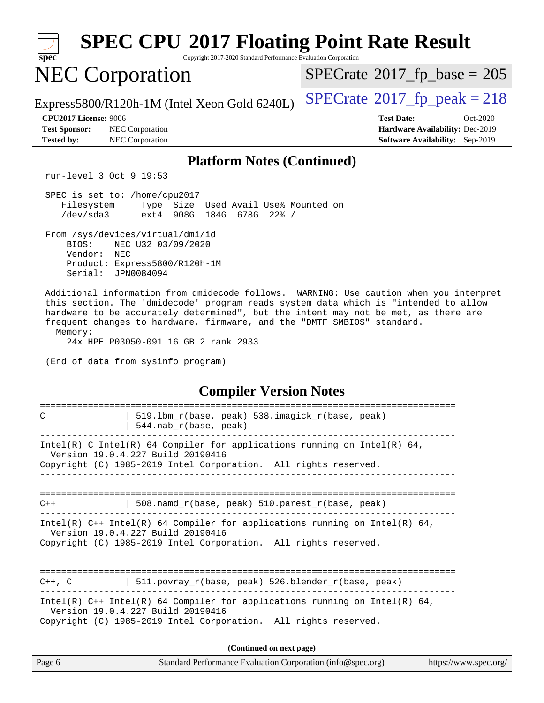|                                                                                                                                                                                      |                                                                                                                                                       | <b>SPEC CPU®2017 Floating Point Rate Result</b>                                                                                                                                                                                                                     |
|--------------------------------------------------------------------------------------------------------------------------------------------------------------------------------------|-------------------------------------------------------------------------------------------------------------------------------------------------------|---------------------------------------------------------------------------------------------------------------------------------------------------------------------------------------------------------------------------------------------------------------------|
| spec                                                                                                                                                                                 | Copyright 2017-2020 Standard Performance Evaluation Corporation                                                                                       |                                                                                                                                                                                                                                                                     |
| <b>NEC Corporation</b>                                                                                                                                                               |                                                                                                                                                       | $SPECrate^{\circ}2017$ fp base = 205                                                                                                                                                                                                                                |
|                                                                                                                                                                                      | Express5800/R120h-1M (Intel Xeon Gold 6240L)                                                                                                          | $SPECrate$ <sup>®</sup> $2017$ _fp_peak = 218                                                                                                                                                                                                                       |
| <b>CPU2017 License: 9006</b>                                                                                                                                                         |                                                                                                                                                       | <b>Test Date:</b><br>Oct-2020                                                                                                                                                                                                                                       |
| <b>Test Sponsor:</b><br><b>Tested by:</b>                                                                                                                                            | NEC Corporation<br>NEC Corporation                                                                                                                    | Hardware Availability: Dec-2019<br><b>Software Availability:</b> Sep-2019                                                                                                                                                                                           |
|                                                                                                                                                                                      | <b>Platform Notes (Continued)</b>                                                                                                                     |                                                                                                                                                                                                                                                                     |
| run-level 3 Oct 9 19:53                                                                                                                                                              |                                                                                                                                                       |                                                                                                                                                                                                                                                                     |
| SPEC is set to: /home/cpu2017<br>Filesystem<br>/dev/sda3                                                                                                                             | Type Size Used Avail Use% Mounted on<br>908G 184G 678G 22% /<br>ext4                                                                                  |                                                                                                                                                                                                                                                                     |
| From /sys/devices/virtual/dmi/id<br>BIOS:<br>Vendor:<br>NEC<br>Serial:                                                                                                               | NEC U32 03/09/2020<br>Product: Express5800/R120h-1M<br>JPN0084094                                                                                     |                                                                                                                                                                                                                                                                     |
| Memory:                                                                                                                                                                              | frequent changes to hardware, firmware, and the "DMTF SMBIOS" standard.<br>24x HPE P03050-091 16 GB 2 rank 2933<br>(End of data from sysinfo program) | Additional information from dmidecode follows. WARNING: Use caution when you interpret<br>this section. The 'dmidecode' program reads system data which is "intended to allow<br>hardware to be accurately determined", but the intent may not be met, as there are |
| <b>Compiler Version Notes</b>                                                                                                                                                        |                                                                                                                                                       |                                                                                                                                                                                                                                                                     |
| C                                                                                                                                                                                    | 519.1bm_r(base, peak) 538.imagick_r(base, peak)<br>544.nab_r(base, peak)                                                                              | ===================================                                                                                                                                                                                                                                 |
| Intel(R) C Intel(R) 64 Compiler for applications running on Intel(R) 64,<br>Version 19.0.4.227 Build 20190416<br>Copyright (C) 1985-2019 Intel Corporation. All rights reserved.     |                                                                                                                                                       |                                                                                                                                                                                                                                                                     |
| $508.\text{namd}_r(\text{base}, \text{peak})$ 510. parest $r(\text{base}, \text{peak})$<br>$C++$                                                                                     |                                                                                                                                                       |                                                                                                                                                                                                                                                                     |
| Intel(R) C++ Intel(R) 64 Compiler for applications running on Intel(R) 64,<br>Version 19.0.4.227 Build 20190416<br>Copyright (C) 1985-2019 Intel Corporation. All rights reserved.   |                                                                                                                                                       |                                                                                                                                                                                                                                                                     |
|                                                                                                                                                                                      |                                                                                                                                                       |                                                                                                                                                                                                                                                                     |
|                                                                                                                                                                                      | $C++$ , C $\qquad$ 511.povray_r(base, peak) 526.blender_r(base, peak)                                                                                 |                                                                                                                                                                                                                                                                     |
| Intel(R) $C++$ Intel(R) 64 Compiler for applications running on Intel(R) 64,<br>Version 19.0.4.227 Build 20190416<br>Copyright (C) 1985-2019 Intel Corporation. All rights reserved. |                                                                                                                                                       |                                                                                                                                                                                                                                                                     |
| (Continued on next page)                                                                                                                                                             |                                                                                                                                                       |                                                                                                                                                                                                                                                                     |
| Page 6                                                                                                                                                                               | Standard Performance Evaluation Corporation (info@spec.org)                                                                                           | https://www.spec.org/                                                                                                                                                                                                                                               |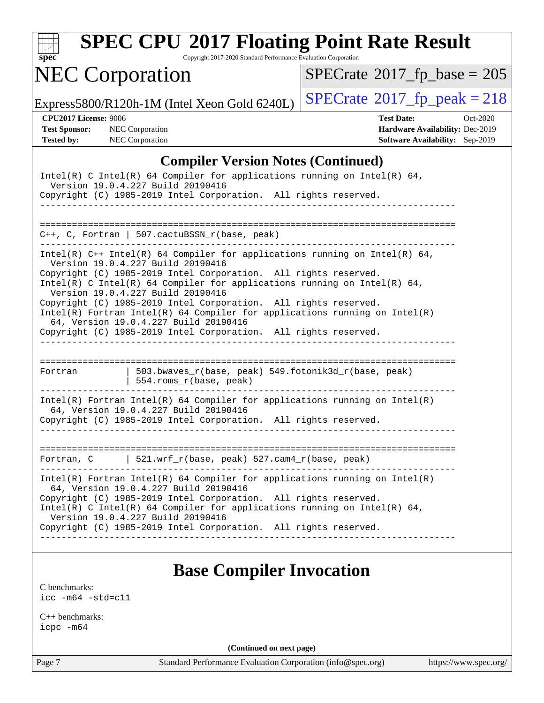

Copyright 2017-2020 Standard Performance Evaluation Corporation

## NEC Corporation

 $SPECrate$ <sup>®</sup>[2017\\_fp\\_base =](http://www.spec.org/auto/cpu2017/Docs/result-fields.html#SPECrate2017fpbase) 205

Express5800/R120h-1M (Intel Xeon Gold 6240L)  $\left|$  [SPECrate](http://www.spec.org/auto/cpu2017/Docs/result-fields.html#SPECrate2017fppeak)<sup>®</sup>[2017\\_fp\\_peak = 2](http://www.spec.org/auto/cpu2017/Docs/result-fields.html#SPECrate2017fppeak)18

**[Test Sponsor:](http://www.spec.org/auto/cpu2017/Docs/result-fields.html#TestSponsor)** NEC Corporation **[Hardware Availability:](http://www.spec.org/auto/cpu2017/Docs/result-fields.html#HardwareAvailability)** Dec-2019

**[CPU2017 License:](http://www.spec.org/auto/cpu2017/Docs/result-fields.html#CPU2017License)** 9006 **[Test Date:](http://www.spec.org/auto/cpu2017/Docs/result-fields.html#TestDate)** Oct-2020 **[Tested by:](http://www.spec.org/auto/cpu2017/Docs/result-fields.html#Testedby)** NEC Corporation **[Software Availability:](http://www.spec.org/auto/cpu2017/Docs/result-fields.html#SoftwareAvailability)** Sep-2019

#### **[Compiler Version Notes \(Continued\)](http://www.spec.org/auto/cpu2017/Docs/result-fields.html#CompilerVersionNotes)**

| Intel(R) C Intel(R) 64 Compiler for applications running on Intel(R) 64,<br>Version 19.0.4.227 Build 20190416<br>Copyright (C) 1985-2019 Intel Corporation. All rights reserved.                                                                                                                                                                                                                                                                                                                                                                                                         |                                                                                |  |
|------------------------------------------------------------------------------------------------------------------------------------------------------------------------------------------------------------------------------------------------------------------------------------------------------------------------------------------------------------------------------------------------------------------------------------------------------------------------------------------------------------------------------------------------------------------------------------------|--------------------------------------------------------------------------------|--|
|                                                                                                                                                                                                                                                                                                                                                                                                                                                                                                                                                                                          | $C++$ , C, Fortran   507.cactuBSSN_r(base, peak)                               |  |
| Intel(R) $C++$ Intel(R) 64 Compiler for applications running on Intel(R) 64,<br>Version 19.0.4.227 Build 20190416<br>Copyright (C) 1985-2019 Intel Corporation. All rights reserved.<br>Intel(R) C Intel(R) 64 Compiler for applications running on Intel(R) 64,<br>Version 19.0.4.227 Build 20190416<br>Copyright (C) 1985-2019 Intel Corporation. All rights reserved.<br>$Intel(R)$ Fortran Intel(R) 64 Compiler for applications running on Intel(R)<br>64, Version 19.0.4.227 Build 20190416<br>Copyright (C) 1985-2019 Intel Corporation. All rights reserved.<br>________________ |                                                                                |  |
| Fortran                                                                                                                                                                                                                                                                                                                                                                                                                                                                                                                                                                                  | 503.bwaves_r(base, peak) 549.fotonik3d_r(base, peak)<br>554.roms_r(base, peak) |  |
| $Intel(R)$ Fortran Intel(R) 64 Compiler for applications running on Intel(R)<br>64, Version 19.0.4.227 Build 20190416<br>Copyright (C) 1985-2019 Intel Corporation. All rights reserved.                                                                                                                                                                                                                                                                                                                                                                                                 |                                                                                |  |
|                                                                                                                                                                                                                                                                                                                                                                                                                                                                                                                                                                                          | Fortran, $C$   521.wrf_r(base, peak) 527.cam4_r(base, peak)                    |  |
| $Intel(R)$ Fortran Intel(R) 64 Compiler for applications running on Intel(R)<br>64, Version 19.0.4.227 Build 20190416<br>Copyright (C) 1985-2019 Intel Corporation. All rights reserved.<br>Intel(R) C Intel(R) 64 Compiler for applications running on Intel(R) 64,<br>Version 19.0.4.227 Build 20190416<br>Copyright (C) 1985-2019 Intel Corporation. All rights reserved.                                                                                                                                                                                                             |                                                                                |  |

### **[Base Compiler Invocation](http://www.spec.org/auto/cpu2017/Docs/result-fields.html#BaseCompilerInvocation)**

[C benchmarks](http://www.spec.org/auto/cpu2017/Docs/result-fields.html#Cbenchmarks): [icc -m64 -std=c11](http://www.spec.org/cpu2017/results/res2020q4/cpu2017-20201012-24176.flags.html#user_CCbase_intel_icc_64bit_c11_33ee0cdaae7deeeab2a9725423ba97205ce30f63b9926c2519791662299b76a0318f32ddfffdc46587804de3178b4f9328c46fa7c2b0cd779d7a61945c91cd35)

[C++ benchmarks:](http://www.spec.org/auto/cpu2017/Docs/result-fields.html#CXXbenchmarks) [icpc -m64](http://www.spec.org/cpu2017/results/res2020q4/cpu2017-20201012-24176.flags.html#user_CXXbase_intel_icpc_64bit_4ecb2543ae3f1412ef961e0650ca070fec7b7afdcd6ed48761b84423119d1bf6bdf5cad15b44d48e7256388bc77273b966e5eb805aefd121eb22e9299b2ec9d9)

**(Continued on next page)**

Page 7 Standard Performance Evaluation Corporation [\(info@spec.org\)](mailto:info@spec.org) <https://www.spec.org/>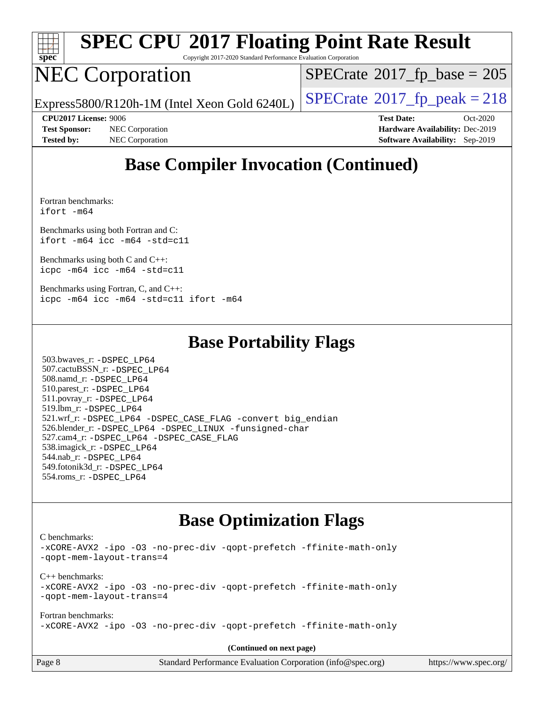

Copyright 2017-2020 Standard Performance Evaluation Corporation

## NEC Corporation

 $SPECTate$ <sup>®</sup>[2017\\_fp\\_base =](http://www.spec.org/auto/cpu2017/Docs/result-fields.html#SPECrate2017fpbase) 205

Express5800/R120h-1M (Intel Xeon Gold 6240L)  $\vert$  [SPECrate](http://www.spec.org/auto/cpu2017/Docs/result-fields.html#SPECrate2017fppeak)®[2017\\_fp\\_peak = 2](http://www.spec.org/auto/cpu2017/Docs/result-fields.html#SPECrate2017fppeak)18

**[Test Sponsor:](http://www.spec.org/auto/cpu2017/Docs/result-fields.html#TestSponsor)** NEC Corporation **[Hardware Availability:](http://www.spec.org/auto/cpu2017/Docs/result-fields.html#HardwareAvailability)** Dec-2019 **[Tested by:](http://www.spec.org/auto/cpu2017/Docs/result-fields.html#Testedby)** NEC Corporation **[Software Availability:](http://www.spec.org/auto/cpu2017/Docs/result-fields.html#SoftwareAvailability)** Sep-2019

**[CPU2017 License:](http://www.spec.org/auto/cpu2017/Docs/result-fields.html#CPU2017License)** 9006 **[Test Date:](http://www.spec.org/auto/cpu2017/Docs/result-fields.html#TestDate)** Oct-2020

## **[Base Compiler Invocation \(Continued\)](http://www.spec.org/auto/cpu2017/Docs/result-fields.html#BaseCompilerInvocation)**

[Fortran benchmarks](http://www.spec.org/auto/cpu2017/Docs/result-fields.html#Fortranbenchmarks): [ifort -m64](http://www.spec.org/cpu2017/results/res2020q4/cpu2017-20201012-24176.flags.html#user_FCbase_intel_ifort_64bit_24f2bb282fbaeffd6157abe4f878425411749daecae9a33200eee2bee2fe76f3b89351d69a8130dd5949958ce389cf37ff59a95e7a40d588e8d3a57e0c3fd751)

[Benchmarks using both Fortran and C](http://www.spec.org/auto/cpu2017/Docs/result-fields.html#BenchmarksusingbothFortranandC): [ifort -m64](http://www.spec.org/cpu2017/results/res2020q4/cpu2017-20201012-24176.flags.html#user_CC_FCbase_intel_ifort_64bit_24f2bb282fbaeffd6157abe4f878425411749daecae9a33200eee2bee2fe76f3b89351d69a8130dd5949958ce389cf37ff59a95e7a40d588e8d3a57e0c3fd751) [icc -m64 -std=c11](http://www.spec.org/cpu2017/results/res2020q4/cpu2017-20201012-24176.flags.html#user_CC_FCbase_intel_icc_64bit_c11_33ee0cdaae7deeeab2a9725423ba97205ce30f63b9926c2519791662299b76a0318f32ddfffdc46587804de3178b4f9328c46fa7c2b0cd779d7a61945c91cd35)

[Benchmarks using both C and C++](http://www.spec.org/auto/cpu2017/Docs/result-fields.html#BenchmarksusingbothCandCXX): [icpc -m64](http://www.spec.org/cpu2017/results/res2020q4/cpu2017-20201012-24176.flags.html#user_CC_CXXbase_intel_icpc_64bit_4ecb2543ae3f1412ef961e0650ca070fec7b7afdcd6ed48761b84423119d1bf6bdf5cad15b44d48e7256388bc77273b966e5eb805aefd121eb22e9299b2ec9d9) [icc -m64 -std=c11](http://www.spec.org/cpu2017/results/res2020q4/cpu2017-20201012-24176.flags.html#user_CC_CXXbase_intel_icc_64bit_c11_33ee0cdaae7deeeab2a9725423ba97205ce30f63b9926c2519791662299b76a0318f32ddfffdc46587804de3178b4f9328c46fa7c2b0cd779d7a61945c91cd35)

[Benchmarks using Fortran, C, and C++:](http://www.spec.org/auto/cpu2017/Docs/result-fields.html#BenchmarksusingFortranCandCXX) [icpc -m64](http://www.spec.org/cpu2017/results/res2020q4/cpu2017-20201012-24176.flags.html#user_CC_CXX_FCbase_intel_icpc_64bit_4ecb2543ae3f1412ef961e0650ca070fec7b7afdcd6ed48761b84423119d1bf6bdf5cad15b44d48e7256388bc77273b966e5eb805aefd121eb22e9299b2ec9d9) [icc -m64 -std=c11](http://www.spec.org/cpu2017/results/res2020q4/cpu2017-20201012-24176.flags.html#user_CC_CXX_FCbase_intel_icc_64bit_c11_33ee0cdaae7deeeab2a9725423ba97205ce30f63b9926c2519791662299b76a0318f32ddfffdc46587804de3178b4f9328c46fa7c2b0cd779d7a61945c91cd35) [ifort -m64](http://www.spec.org/cpu2017/results/res2020q4/cpu2017-20201012-24176.flags.html#user_CC_CXX_FCbase_intel_ifort_64bit_24f2bb282fbaeffd6157abe4f878425411749daecae9a33200eee2bee2fe76f3b89351d69a8130dd5949958ce389cf37ff59a95e7a40d588e8d3a57e0c3fd751)

#### **[Base Portability Flags](http://www.spec.org/auto/cpu2017/Docs/result-fields.html#BasePortabilityFlags)**

 503.bwaves\_r: [-DSPEC\\_LP64](http://www.spec.org/cpu2017/results/res2020q4/cpu2017-20201012-24176.flags.html#suite_basePORTABILITY503_bwaves_r_DSPEC_LP64) 507.cactuBSSN\_r: [-DSPEC\\_LP64](http://www.spec.org/cpu2017/results/res2020q4/cpu2017-20201012-24176.flags.html#suite_basePORTABILITY507_cactuBSSN_r_DSPEC_LP64) 508.namd\_r: [-DSPEC\\_LP64](http://www.spec.org/cpu2017/results/res2020q4/cpu2017-20201012-24176.flags.html#suite_basePORTABILITY508_namd_r_DSPEC_LP64) 510.parest\_r: [-DSPEC\\_LP64](http://www.spec.org/cpu2017/results/res2020q4/cpu2017-20201012-24176.flags.html#suite_basePORTABILITY510_parest_r_DSPEC_LP64) 511.povray\_r: [-DSPEC\\_LP64](http://www.spec.org/cpu2017/results/res2020q4/cpu2017-20201012-24176.flags.html#suite_basePORTABILITY511_povray_r_DSPEC_LP64) 519.lbm\_r: [-DSPEC\\_LP64](http://www.spec.org/cpu2017/results/res2020q4/cpu2017-20201012-24176.flags.html#suite_basePORTABILITY519_lbm_r_DSPEC_LP64) 521.wrf\_r: [-DSPEC\\_LP64](http://www.spec.org/cpu2017/results/res2020q4/cpu2017-20201012-24176.flags.html#suite_basePORTABILITY521_wrf_r_DSPEC_LP64) [-DSPEC\\_CASE\\_FLAG](http://www.spec.org/cpu2017/results/res2020q4/cpu2017-20201012-24176.flags.html#b521.wrf_r_baseCPORTABILITY_DSPEC_CASE_FLAG) [-convert big\\_endian](http://www.spec.org/cpu2017/results/res2020q4/cpu2017-20201012-24176.flags.html#user_baseFPORTABILITY521_wrf_r_convert_big_endian_c3194028bc08c63ac5d04de18c48ce6d347e4e562e8892b8bdbdc0214820426deb8554edfa529a3fb25a586e65a3d812c835984020483e7e73212c4d31a38223) 526.blender\_r: [-DSPEC\\_LP64](http://www.spec.org/cpu2017/results/res2020q4/cpu2017-20201012-24176.flags.html#suite_basePORTABILITY526_blender_r_DSPEC_LP64) [-DSPEC\\_LINUX](http://www.spec.org/cpu2017/results/res2020q4/cpu2017-20201012-24176.flags.html#b526.blender_r_baseCPORTABILITY_DSPEC_LINUX) [-funsigned-char](http://www.spec.org/cpu2017/results/res2020q4/cpu2017-20201012-24176.flags.html#user_baseCPORTABILITY526_blender_r_force_uchar_40c60f00ab013830e2dd6774aeded3ff59883ba5a1fc5fc14077f794d777847726e2a5858cbc7672e36e1b067e7e5c1d9a74f7176df07886a243d7cc18edfe67) 527.cam4\_r: [-DSPEC\\_LP64](http://www.spec.org/cpu2017/results/res2020q4/cpu2017-20201012-24176.flags.html#suite_basePORTABILITY527_cam4_r_DSPEC_LP64) [-DSPEC\\_CASE\\_FLAG](http://www.spec.org/cpu2017/results/res2020q4/cpu2017-20201012-24176.flags.html#b527.cam4_r_baseCPORTABILITY_DSPEC_CASE_FLAG) 538.imagick\_r: [-DSPEC\\_LP64](http://www.spec.org/cpu2017/results/res2020q4/cpu2017-20201012-24176.flags.html#suite_basePORTABILITY538_imagick_r_DSPEC_LP64) 544.nab\_r: [-DSPEC\\_LP64](http://www.spec.org/cpu2017/results/res2020q4/cpu2017-20201012-24176.flags.html#suite_basePORTABILITY544_nab_r_DSPEC_LP64) 549.fotonik3d\_r: [-DSPEC\\_LP64](http://www.spec.org/cpu2017/results/res2020q4/cpu2017-20201012-24176.flags.html#suite_basePORTABILITY549_fotonik3d_r_DSPEC_LP64) 554.roms\_r: [-DSPEC\\_LP64](http://www.spec.org/cpu2017/results/res2020q4/cpu2017-20201012-24176.flags.html#suite_basePORTABILITY554_roms_r_DSPEC_LP64)

## **[Base Optimization Flags](http://www.spec.org/auto/cpu2017/Docs/result-fields.html#BaseOptimizationFlags)**

[C benchmarks](http://www.spec.org/auto/cpu2017/Docs/result-fields.html#Cbenchmarks):

[-xCORE-AVX2](http://www.spec.org/cpu2017/results/res2020q4/cpu2017-20201012-24176.flags.html#user_CCbase_f-xCORE-AVX2) [-ipo](http://www.spec.org/cpu2017/results/res2020q4/cpu2017-20201012-24176.flags.html#user_CCbase_f-ipo) [-O3](http://www.spec.org/cpu2017/results/res2020q4/cpu2017-20201012-24176.flags.html#user_CCbase_f-O3) [-no-prec-div](http://www.spec.org/cpu2017/results/res2020q4/cpu2017-20201012-24176.flags.html#user_CCbase_f-no-prec-div) [-qopt-prefetch](http://www.spec.org/cpu2017/results/res2020q4/cpu2017-20201012-24176.flags.html#user_CCbase_f-qopt-prefetch) [-ffinite-math-only](http://www.spec.org/cpu2017/results/res2020q4/cpu2017-20201012-24176.flags.html#user_CCbase_f_finite_math_only_cb91587bd2077682c4b38af759c288ed7c732db004271a9512da14a4f8007909a5f1427ecbf1a0fb78ff2a814402c6114ac565ca162485bbcae155b5e4258871) [-qopt-mem-layout-trans=4](http://www.spec.org/cpu2017/results/res2020q4/cpu2017-20201012-24176.flags.html#user_CCbase_f-qopt-mem-layout-trans_fa39e755916c150a61361b7846f310bcdf6f04e385ef281cadf3647acec3f0ae266d1a1d22d972a7087a248fd4e6ca390a3634700869573d231a252c784941a8) [C++ benchmarks:](http://www.spec.org/auto/cpu2017/Docs/result-fields.html#CXXbenchmarks) [-xCORE-AVX2](http://www.spec.org/cpu2017/results/res2020q4/cpu2017-20201012-24176.flags.html#user_CXXbase_f-xCORE-AVX2) [-ipo](http://www.spec.org/cpu2017/results/res2020q4/cpu2017-20201012-24176.flags.html#user_CXXbase_f-ipo) [-O3](http://www.spec.org/cpu2017/results/res2020q4/cpu2017-20201012-24176.flags.html#user_CXXbase_f-O3) [-no-prec-div](http://www.spec.org/cpu2017/results/res2020q4/cpu2017-20201012-24176.flags.html#user_CXXbase_f-no-prec-div) [-qopt-prefetch](http://www.spec.org/cpu2017/results/res2020q4/cpu2017-20201012-24176.flags.html#user_CXXbase_f-qopt-prefetch) [-ffinite-math-only](http://www.spec.org/cpu2017/results/res2020q4/cpu2017-20201012-24176.flags.html#user_CXXbase_f_finite_math_only_cb91587bd2077682c4b38af759c288ed7c732db004271a9512da14a4f8007909a5f1427ecbf1a0fb78ff2a814402c6114ac565ca162485bbcae155b5e4258871) [-qopt-mem-layout-trans=4](http://www.spec.org/cpu2017/results/res2020q4/cpu2017-20201012-24176.flags.html#user_CXXbase_f-qopt-mem-layout-trans_fa39e755916c150a61361b7846f310bcdf6f04e385ef281cadf3647acec3f0ae266d1a1d22d972a7087a248fd4e6ca390a3634700869573d231a252c784941a8) [Fortran benchmarks](http://www.spec.org/auto/cpu2017/Docs/result-fields.html#Fortranbenchmarks): [-xCORE-AVX2](http://www.spec.org/cpu2017/results/res2020q4/cpu2017-20201012-24176.flags.html#user_FCbase_f-xCORE-AVX2) [-ipo](http://www.spec.org/cpu2017/results/res2020q4/cpu2017-20201012-24176.flags.html#user_FCbase_f-ipo) [-O3](http://www.spec.org/cpu2017/results/res2020q4/cpu2017-20201012-24176.flags.html#user_FCbase_f-O3) [-no-prec-div](http://www.spec.org/cpu2017/results/res2020q4/cpu2017-20201012-24176.flags.html#user_FCbase_f-no-prec-div) [-qopt-prefetch](http://www.spec.org/cpu2017/results/res2020q4/cpu2017-20201012-24176.flags.html#user_FCbase_f-qopt-prefetch) [-ffinite-math-only](http://www.spec.org/cpu2017/results/res2020q4/cpu2017-20201012-24176.flags.html#user_FCbase_f_finite_math_only_cb91587bd2077682c4b38af759c288ed7c732db004271a9512da14a4f8007909a5f1427ecbf1a0fb78ff2a814402c6114ac565ca162485bbcae155b5e4258871)

**(Continued on next page)**

| Page 8 | Standard Performance Evaluation Corporation (info@spec.org) | https://www.spec.org/ |
|--------|-------------------------------------------------------------|-----------------------|
|--------|-------------------------------------------------------------|-----------------------|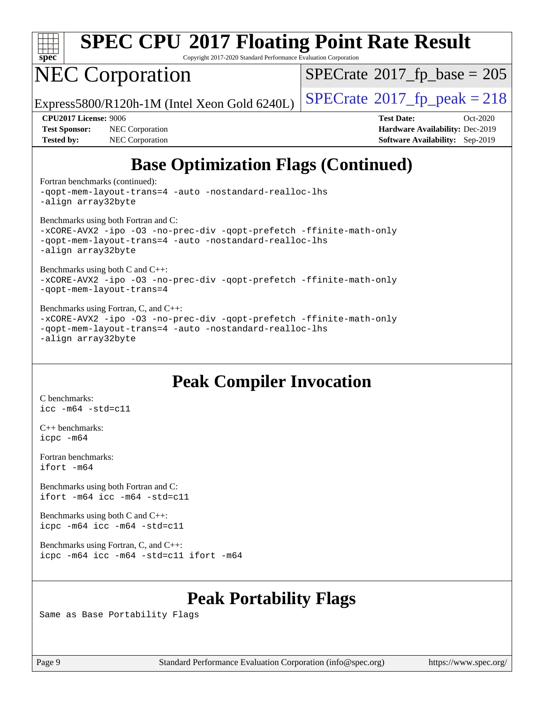

Copyright 2017-2020 Standard Performance Evaluation Corporation

## NEC Corporation

 $SPECTate$ <sup>®</sup>[2017\\_fp\\_base =](http://www.spec.org/auto/cpu2017/Docs/result-fields.html#SPECrate2017fpbase) 205

Express5800/R120h-1M (Intel Xeon Gold 6240L)  $\vert$  [SPECrate](http://www.spec.org/auto/cpu2017/Docs/result-fields.html#SPECrate2017fppeak)®[2017\\_fp\\_peak = 2](http://www.spec.org/auto/cpu2017/Docs/result-fields.html#SPECrate2017fppeak)18

**[Test Sponsor:](http://www.spec.org/auto/cpu2017/Docs/result-fields.html#TestSponsor)** NEC Corporation **[Hardware Availability:](http://www.spec.org/auto/cpu2017/Docs/result-fields.html#HardwareAvailability)** Dec-2019 **[Tested by:](http://www.spec.org/auto/cpu2017/Docs/result-fields.html#Testedby)** NEC Corporation **[Software Availability:](http://www.spec.org/auto/cpu2017/Docs/result-fields.html#SoftwareAvailability)** Sep-2019

**[CPU2017 License:](http://www.spec.org/auto/cpu2017/Docs/result-fields.html#CPU2017License)** 9006 **[Test Date:](http://www.spec.org/auto/cpu2017/Docs/result-fields.html#TestDate)** Oct-2020

## **[Base Optimization Flags \(Continued\)](http://www.spec.org/auto/cpu2017/Docs/result-fields.html#BaseOptimizationFlags)**

[Fortran benchmarks](http://www.spec.org/auto/cpu2017/Docs/result-fields.html#Fortranbenchmarks) (continued):

[-qopt-mem-layout-trans=4](http://www.spec.org/cpu2017/results/res2020q4/cpu2017-20201012-24176.flags.html#user_FCbase_f-qopt-mem-layout-trans_fa39e755916c150a61361b7846f310bcdf6f04e385ef281cadf3647acec3f0ae266d1a1d22d972a7087a248fd4e6ca390a3634700869573d231a252c784941a8) [-auto](http://www.spec.org/cpu2017/results/res2020q4/cpu2017-20201012-24176.flags.html#user_FCbase_f-auto) [-nostandard-realloc-lhs](http://www.spec.org/cpu2017/results/res2020q4/cpu2017-20201012-24176.flags.html#user_FCbase_f_2003_std_realloc_82b4557e90729c0f113870c07e44d33d6f5a304b4f63d4c15d2d0f1fab99f5daaed73bdb9275d9ae411527f28b936061aa8b9c8f2d63842963b95c9dd6426b8a) [-align array32byte](http://www.spec.org/cpu2017/results/res2020q4/cpu2017-20201012-24176.flags.html#user_FCbase_align_array32byte_b982fe038af199962ba9a80c053b8342c548c85b40b8e86eb3cc33dee0d7986a4af373ac2d51c3f7cf710a18d62fdce2948f201cd044323541f22fc0fffc51b6)

[Benchmarks using both Fortran and C](http://www.spec.org/auto/cpu2017/Docs/result-fields.html#BenchmarksusingbothFortranandC):

[-xCORE-AVX2](http://www.spec.org/cpu2017/results/res2020q4/cpu2017-20201012-24176.flags.html#user_CC_FCbase_f-xCORE-AVX2) [-ipo](http://www.spec.org/cpu2017/results/res2020q4/cpu2017-20201012-24176.flags.html#user_CC_FCbase_f-ipo) [-O3](http://www.spec.org/cpu2017/results/res2020q4/cpu2017-20201012-24176.flags.html#user_CC_FCbase_f-O3) [-no-prec-div](http://www.spec.org/cpu2017/results/res2020q4/cpu2017-20201012-24176.flags.html#user_CC_FCbase_f-no-prec-div) [-qopt-prefetch](http://www.spec.org/cpu2017/results/res2020q4/cpu2017-20201012-24176.flags.html#user_CC_FCbase_f-qopt-prefetch) [-ffinite-math-only](http://www.spec.org/cpu2017/results/res2020q4/cpu2017-20201012-24176.flags.html#user_CC_FCbase_f_finite_math_only_cb91587bd2077682c4b38af759c288ed7c732db004271a9512da14a4f8007909a5f1427ecbf1a0fb78ff2a814402c6114ac565ca162485bbcae155b5e4258871) [-qopt-mem-layout-trans=4](http://www.spec.org/cpu2017/results/res2020q4/cpu2017-20201012-24176.flags.html#user_CC_FCbase_f-qopt-mem-layout-trans_fa39e755916c150a61361b7846f310bcdf6f04e385ef281cadf3647acec3f0ae266d1a1d22d972a7087a248fd4e6ca390a3634700869573d231a252c784941a8) [-auto](http://www.spec.org/cpu2017/results/res2020q4/cpu2017-20201012-24176.flags.html#user_CC_FCbase_f-auto) [-nostandard-realloc-lhs](http://www.spec.org/cpu2017/results/res2020q4/cpu2017-20201012-24176.flags.html#user_CC_FCbase_f_2003_std_realloc_82b4557e90729c0f113870c07e44d33d6f5a304b4f63d4c15d2d0f1fab99f5daaed73bdb9275d9ae411527f28b936061aa8b9c8f2d63842963b95c9dd6426b8a) [-align array32byte](http://www.spec.org/cpu2017/results/res2020q4/cpu2017-20201012-24176.flags.html#user_CC_FCbase_align_array32byte_b982fe038af199962ba9a80c053b8342c548c85b40b8e86eb3cc33dee0d7986a4af373ac2d51c3f7cf710a18d62fdce2948f201cd044323541f22fc0fffc51b6)

[Benchmarks using both C and C++](http://www.spec.org/auto/cpu2017/Docs/result-fields.html#BenchmarksusingbothCandCXX):

[-xCORE-AVX2](http://www.spec.org/cpu2017/results/res2020q4/cpu2017-20201012-24176.flags.html#user_CC_CXXbase_f-xCORE-AVX2) [-ipo](http://www.spec.org/cpu2017/results/res2020q4/cpu2017-20201012-24176.flags.html#user_CC_CXXbase_f-ipo) [-O3](http://www.spec.org/cpu2017/results/res2020q4/cpu2017-20201012-24176.flags.html#user_CC_CXXbase_f-O3) [-no-prec-div](http://www.spec.org/cpu2017/results/res2020q4/cpu2017-20201012-24176.flags.html#user_CC_CXXbase_f-no-prec-div) [-qopt-prefetch](http://www.spec.org/cpu2017/results/res2020q4/cpu2017-20201012-24176.flags.html#user_CC_CXXbase_f-qopt-prefetch) [-ffinite-math-only](http://www.spec.org/cpu2017/results/res2020q4/cpu2017-20201012-24176.flags.html#user_CC_CXXbase_f_finite_math_only_cb91587bd2077682c4b38af759c288ed7c732db004271a9512da14a4f8007909a5f1427ecbf1a0fb78ff2a814402c6114ac565ca162485bbcae155b5e4258871) [-qopt-mem-layout-trans=4](http://www.spec.org/cpu2017/results/res2020q4/cpu2017-20201012-24176.flags.html#user_CC_CXXbase_f-qopt-mem-layout-trans_fa39e755916c150a61361b7846f310bcdf6f04e385ef281cadf3647acec3f0ae266d1a1d22d972a7087a248fd4e6ca390a3634700869573d231a252c784941a8)

#### [Benchmarks using Fortran, C, and C++:](http://www.spec.org/auto/cpu2017/Docs/result-fields.html#BenchmarksusingFortranCandCXX)

[-xCORE-AVX2](http://www.spec.org/cpu2017/results/res2020q4/cpu2017-20201012-24176.flags.html#user_CC_CXX_FCbase_f-xCORE-AVX2) [-ipo](http://www.spec.org/cpu2017/results/res2020q4/cpu2017-20201012-24176.flags.html#user_CC_CXX_FCbase_f-ipo) [-O3](http://www.spec.org/cpu2017/results/res2020q4/cpu2017-20201012-24176.flags.html#user_CC_CXX_FCbase_f-O3) [-no-prec-div](http://www.spec.org/cpu2017/results/res2020q4/cpu2017-20201012-24176.flags.html#user_CC_CXX_FCbase_f-no-prec-div) [-qopt-prefetch](http://www.spec.org/cpu2017/results/res2020q4/cpu2017-20201012-24176.flags.html#user_CC_CXX_FCbase_f-qopt-prefetch) [-ffinite-math-only](http://www.spec.org/cpu2017/results/res2020q4/cpu2017-20201012-24176.flags.html#user_CC_CXX_FCbase_f_finite_math_only_cb91587bd2077682c4b38af759c288ed7c732db004271a9512da14a4f8007909a5f1427ecbf1a0fb78ff2a814402c6114ac565ca162485bbcae155b5e4258871) [-qopt-mem-layout-trans=4](http://www.spec.org/cpu2017/results/res2020q4/cpu2017-20201012-24176.flags.html#user_CC_CXX_FCbase_f-qopt-mem-layout-trans_fa39e755916c150a61361b7846f310bcdf6f04e385ef281cadf3647acec3f0ae266d1a1d22d972a7087a248fd4e6ca390a3634700869573d231a252c784941a8) [-auto](http://www.spec.org/cpu2017/results/res2020q4/cpu2017-20201012-24176.flags.html#user_CC_CXX_FCbase_f-auto) [-nostandard-realloc-lhs](http://www.spec.org/cpu2017/results/res2020q4/cpu2017-20201012-24176.flags.html#user_CC_CXX_FCbase_f_2003_std_realloc_82b4557e90729c0f113870c07e44d33d6f5a304b4f63d4c15d2d0f1fab99f5daaed73bdb9275d9ae411527f28b936061aa8b9c8f2d63842963b95c9dd6426b8a) [-align array32byte](http://www.spec.org/cpu2017/results/res2020q4/cpu2017-20201012-24176.flags.html#user_CC_CXX_FCbase_align_array32byte_b982fe038af199962ba9a80c053b8342c548c85b40b8e86eb3cc33dee0d7986a4af373ac2d51c3f7cf710a18d62fdce2948f201cd044323541f22fc0fffc51b6)

### **[Peak Compiler Invocation](http://www.spec.org/auto/cpu2017/Docs/result-fields.html#PeakCompilerInvocation)**

[C benchmarks](http://www.spec.org/auto/cpu2017/Docs/result-fields.html#Cbenchmarks): [icc -m64 -std=c11](http://www.spec.org/cpu2017/results/res2020q4/cpu2017-20201012-24176.flags.html#user_CCpeak_intel_icc_64bit_c11_33ee0cdaae7deeeab2a9725423ba97205ce30f63b9926c2519791662299b76a0318f32ddfffdc46587804de3178b4f9328c46fa7c2b0cd779d7a61945c91cd35)

[C++ benchmarks:](http://www.spec.org/auto/cpu2017/Docs/result-fields.html#CXXbenchmarks) [icpc -m64](http://www.spec.org/cpu2017/results/res2020q4/cpu2017-20201012-24176.flags.html#user_CXXpeak_intel_icpc_64bit_4ecb2543ae3f1412ef961e0650ca070fec7b7afdcd6ed48761b84423119d1bf6bdf5cad15b44d48e7256388bc77273b966e5eb805aefd121eb22e9299b2ec9d9)

[Fortran benchmarks](http://www.spec.org/auto/cpu2017/Docs/result-fields.html#Fortranbenchmarks): [ifort -m64](http://www.spec.org/cpu2017/results/res2020q4/cpu2017-20201012-24176.flags.html#user_FCpeak_intel_ifort_64bit_24f2bb282fbaeffd6157abe4f878425411749daecae9a33200eee2bee2fe76f3b89351d69a8130dd5949958ce389cf37ff59a95e7a40d588e8d3a57e0c3fd751)

[Benchmarks using both Fortran and C](http://www.spec.org/auto/cpu2017/Docs/result-fields.html#BenchmarksusingbothFortranandC): [ifort -m64](http://www.spec.org/cpu2017/results/res2020q4/cpu2017-20201012-24176.flags.html#user_CC_FCpeak_intel_ifort_64bit_24f2bb282fbaeffd6157abe4f878425411749daecae9a33200eee2bee2fe76f3b89351d69a8130dd5949958ce389cf37ff59a95e7a40d588e8d3a57e0c3fd751) [icc -m64 -std=c11](http://www.spec.org/cpu2017/results/res2020q4/cpu2017-20201012-24176.flags.html#user_CC_FCpeak_intel_icc_64bit_c11_33ee0cdaae7deeeab2a9725423ba97205ce30f63b9926c2519791662299b76a0318f32ddfffdc46587804de3178b4f9328c46fa7c2b0cd779d7a61945c91cd35)

[Benchmarks using both C and C++](http://www.spec.org/auto/cpu2017/Docs/result-fields.html#BenchmarksusingbothCandCXX): [icpc -m64](http://www.spec.org/cpu2017/results/res2020q4/cpu2017-20201012-24176.flags.html#user_CC_CXXpeak_intel_icpc_64bit_4ecb2543ae3f1412ef961e0650ca070fec7b7afdcd6ed48761b84423119d1bf6bdf5cad15b44d48e7256388bc77273b966e5eb805aefd121eb22e9299b2ec9d9) [icc -m64 -std=c11](http://www.spec.org/cpu2017/results/res2020q4/cpu2017-20201012-24176.flags.html#user_CC_CXXpeak_intel_icc_64bit_c11_33ee0cdaae7deeeab2a9725423ba97205ce30f63b9926c2519791662299b76a0318f32ddfffdc46587804de3178b4f9328c46fa7c2b0cd779d7a61945c91cd35)

[Benchmarks using Fortran, C, and C++:](http://www.spec.org/auto/cpu2017/Docs/result-fields.html#BenchmarksusingFortranCandCXX) [icpc -m64](http://www.spec.org/cpu2017/results/res2020q4/cpu2017-20201012-24176.flags.html#user_CC_CXX_FCpeak_intel_icpc_64bit_4ecb2543ae3f1412ef961e0650ca070fec7b7afdcd6ed48761b84423119d1bf6bdf5cad15b44d48e7256388bc77273b966e5eb805aefd121eb22e9299b2ec9d9) [icc -m64 -std=c11](http://www.spec.org/cpu2017/results/res2020q4/cpu2017-20201012-24176.flags.html#user_CC_CXX_FCpeak_intel_icc_64bit_c11_33ee0cdaae7deeeab2a9725423ba97205ce30f63b9926c2519791662299b76a0318f32ddfffdc46587804de3178b4f9328c46fa7c2b0cd779d7a61945c91cd35) [ifort -m64](http://www.spec.org/cpu2017/results/res2020q4/cpu2017-20201012-24176.flags.html#user_CC_CXX_FCpeak_intel_ifort_64bit_24f2bb282fbaeffd6157abe4f878425411749daecae9a33200eee2bee2fe76f3b89351d69a8130dd5949958ce389cf37ff59a95e7a40d588e8d3a57e0c3fd751)

### **[Peak Portability Flags](http://www.spec.org/auto/cpu2017/Docs/result-fields.html#PeakPortabilityFlags)**

Same as Base Portability Flags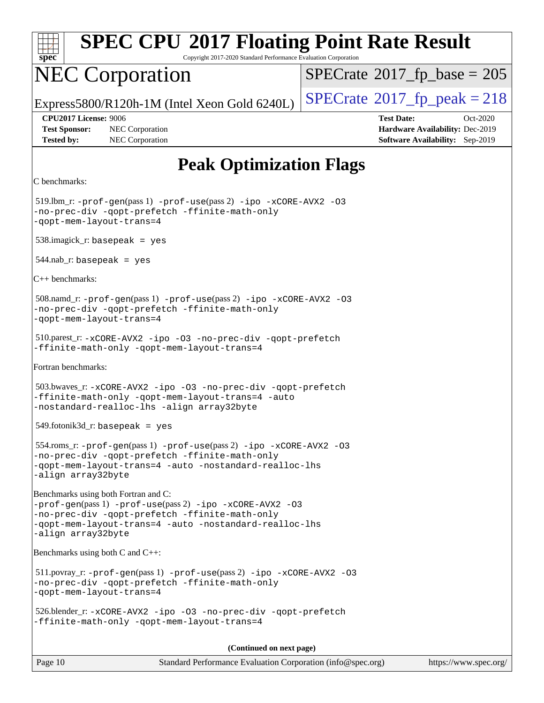| <b>SPEC CPU®2017 Floating Point Rate Result</b><br>spec <sup>®</sup><br>Copyright 2017-2020 Standard Performance Evaluation Corporation                                                                                            |                                                                                                            |  |
|------------------------------------------------------------------------------------------------------------------------------------------------------------------------------------------------------------------------------------|------------------------------------------------------------------------------------------------------------|--|
| <b>NEC Corporation</b>                                                                                                                                                                                                             | $SPECrate^{\circ}2017$ _fp_base = 205                                                                      |  |
| Express5800/R120h-1M (Intel Xeon Gold 6240L)                                                                                                                                                                                       | $SPECrate^{\circ}2017$ _fp_peak = 218                                                                      |  |
| <b>CPU2017 License: 9006</b><br><b>Test Sponsor:</b><br>NEC Corporation<br><b>Tested by:</b><br>NEC Corporation                                                                                                                    | <b>Test Date:</b><br>Oct-2020<br>Hardware Availability: Dec-2019<br><b>Software Availability:</b> Sep-2019 |  |
| <b>Peak Optimization Flags</b>                                                                                                                                                                                                     |                                                                                                            |  |
| C benchmarks:                                                                                                                                                                                                                      |                                                                                                            |  |
| $519$ .lbm_r: -prof-gen(pass 1) -prof-use(pass 2) -ipo -xCORE-AVX2 -03<br>-no-prec-div -qopt-prefetch -ffinite-math-only<br>-qopt-mem-layout-trans=4                                                                               |                                                                                                            |  |
| $538.\text{imagek}_r$ : basepeak = yes                                                                                                                                                                                             |                                                                                                            |  |
| $544$ .nab_r: basepeak = yes                                                                                                                                                                                                       |                                                                                                            |  |
| $C++$ benchmarks:                                                                                                                                                                                                                  |                                                                                                            |  |
| 508.namd_r: -prof-gen(pass 1) -prof-use(pass 2) -ipo -xCORE-AVX2 -03<br>-no-prec-div -qopt-prefetch -ffinite-math-only<br>-qopt-mem-layout-trans=4                                                                                 |                                                                                                            |  |
| 510.parest_r: -xCORE-AVX2 -ipo -03 -no-prec-div -qopt-prefetch<br>-ffinite-math-only -qopt-mem-layout-trans=4                                                                                                                      |                                                                                                            |  |
| Fortran benchmarks:                                                                                                                                                                                                                |                                                                                                            |  |
| 503.bwaves_r: -xCORE-AVX2 -ipo -03 -no-prec-div -qopt-prefetch<br>-ffinite-math-only -qopt-mem-layout-trans=4 -auto<br>-nostandard-realloc-lhs -align array32byte                                                                  |                                                                                                            |  |
| $549.$ fotonik $3d$ _r: basepeak = yes                                                                                                                                                                                             |                                                                                                            |  |
| $554 \cdot \text{rows}$ : -prof-qen(pass 1) -prof-use(pass 2) -ipo -xCORE-AVX2 -03<br>-no-prec-div -qopt-prefetch -ffinite-math-only<br>-qopt-mem-layout-trans=4 -auto -nostandard-realloc-lhs<br>-align array32byte               |                                                                                                            |  |
| Benchmarks using both Fortran and C:<br>-prof-gen(pass 1) -prof-use(pass 2) -ipo -xCORE-AVX2 -03<br>-no-prec-div -qopt-prefetch -ffinite-math-only<br>-qopt-mem-layout-trans=4 -auto -nostandard-realloc-lhs<br>-align array32byte |                                                                                                            |  |
| Benchmarks using both $C$ and $C_{++}$ :                                                                                                                                                                                           |                                                                                                            |  |
| $511.$ povray_r: -prof-gen(pass 1) -prof-use(pass 2) -ipo -xCORE-AVX2 -03<br>-no-prec-div -qopt-prefetch -ffinite-math-only<br>-qopt-mem-layout-trans=4                                                                            |                                                                                                            |  |
| 526.blender_r: -xCORE-AVX2 -ipo -03 -no-prec-div -qopt-prefetch<br>-ffinite-math-only -qopt-mem-layout-trans=4                                                                                                                     |                                                                                                            |  |
| (Continued on next page)                                                                                                                                                                                                           |                                                                                                            |  |